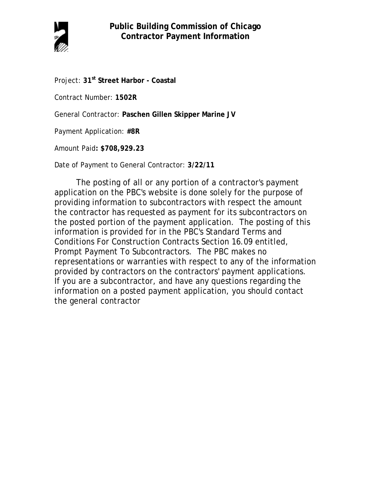

Project: **31st Street Harbor - Coastal**

Contract Number: **1502R**

General Contractor: **Paschen Gillen Skipper Marine JV**

Payment Application: **#8R**

Amount Paid**: \$708,929.23**

Date of Payment to General Contractor: **3/22/11**

The posting of all or any portion of a contractor's payment application on the PBC's website is done solely for the purpose of providing information to subcontractors with respect the amount the contractor has requested as payment for its subcontractors on the posted portion of the payment application. The posting of this information is provided for in the PBC's Standard Terms and Conditions For Construction Contracts Section 16.09 entitled, Prompt Payment To Subcontractors. The PBC makes no representations or warranties with respect to any of the information provided by contractors on the contractors' payment applications. If you are a subcontractor, and have any questions regarding the information on a posted payment application, you should contact the general contractor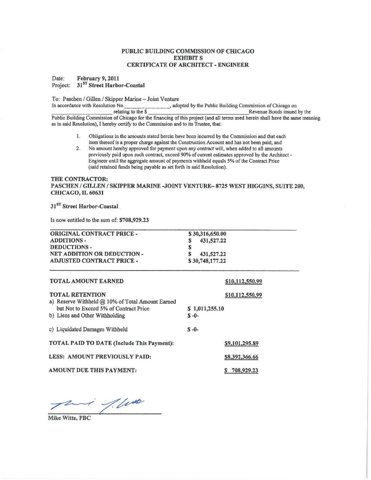### PUBLIC BUILDING COMMISSION OF CHICAGO **EXHIBIT S CERTIFICATE OF ARCHITECT - ENGINEER**

February 9, 2011 Date: Project: 31<sup>ST</sup> Street Harbor-Coastal

To: Paschen / Gillen / Skipper Marine - Joint Venture

In accordance with Resolution No. , adopted by the Public Building Commission of Chicago on relating to the \$ Revenue Bonds issued by the Public Building Commission of Chicago for the financing of this project (and all terms used herein shall have the same meaning as in said Resolution), I hereby certify to the Commission and to its Trustee, that:

- $\mathbf{I}$ . Obligations in the amounts stated herein have been incurred by the Commission and that each item thereof is a proper charge against the Construction Account and has not been paid; and
- No amount hereby approved for payment upon any contract will, when added to all amounts  $\overline{2}$ . previously paid upon such contract, exceed 90% of current estimates approved by the Architect -Engineer until the aggregate amount of payments withheld equals 5% of the Contract Price (said retained funds being payable as set forth in said Resolution).

# THE CONTRACTOR: PASCHEN / GILLEN / SKIPPER MARINE -JOINT VENTURE-8725 WEST HIGGINS, SUITE 200, CHICAGO, IL 60631

31<sup>ST</sup> Street Harbor-Coastal

Is now entitled to the sum of: \$708,929.23

| <b>ORIGINAL CONTRACT PRICE -</b>   | \$30,316,650.00 |
|------------------------------------|-----------------|
| <b>ADDITIONS-</b>                  | 431,527.22      |
| <b>DEDUCTIONS-</b>                 | œ               |
| <b>NET ADDITION OR DEDUCTION -</b> | 431,527.22      |
| <b>ADJUSTED CONTRACT PRICE -</b>   | \$30,748,177.22 |

| <b>TOTAL AMOUNT EARNED</b>                                                 | \$10,112,550.99             |
|----------------------------------------------------------------------------|-----------------------------|
| <b>TOTAL RETENTION</b><br>a) Reserve Withheld @ 10% of Total Amount Earned | \$10,112,550.99             |
| but Not to Exceed 5% of Contract Price<br>b) Liens and Other Withholding   | \$1,011,255.10<br>$S - 0 -$ |
| c) Liquidated Damages Withheld                                             | $S - 0 -$                   |
| TOTAL PAID TO DATE (Include This Payment):                                 | \$9,101,295.89              |
| LESS: AMOUNT PREVIOUSLY PAID:                                              | \$8,392,366.66              |
| AMOUNT DUE THIS PAYMENT:                                                   | 708,929.23                  |

 $1/100$ 

Mike Witte, PBC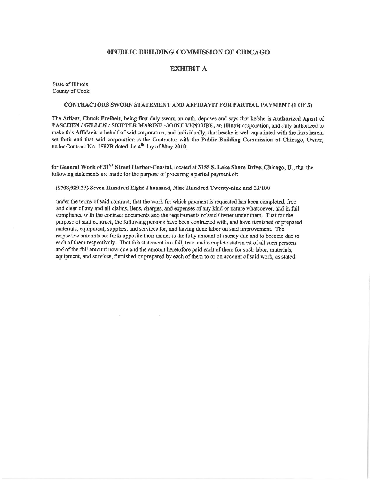# 0PUBLIC BUILDING COMMISSION OF CHICAGO

# **EXHIBIT A**

State of Illinois County of Cook

### CONTRACTORS SWORN STATEMENT AND AFFIDAVIT FOR PARTIAL PAYMENT (1 OF 3)

The Affiant, Chuck Freiheit, being first duly sworn on oath, deposes and says that he/she is Authorized Agent of PASCHEN / GILLEN / SKIPPER MARINE -JOINT VENTURE, an Illinois corporation, and duly authorized to make this Affidavit in behalf of said corporation, and individually; that he/she is well aquatinted with the facts herein set forth and that said corporation is the Contractor with the Public Building Commission of Chicago, Owner, under Contract No. 1502R dated the 4<sup>th</sup> day of May 2010,

for General Work of 31<sup>ST</sup> Street Harbor-Coastal, located at 3155 S. Lake Shore Drive, Chicago, IL, that the following statements are made for the purpose of procuring a partial payment of:

### (\$708,929.23) Seven Hundred Eight Thousand, Nine Hundred Twenty-nine and 23/100

under the terms of said contract; that the work for which payment is requested has been completed, free and clear of any and all claims, liens, charges, and expenses of any kind or nature whatsoever, and in full compliance with the contract documents and the requirements of said Owner under them. That for the purpose of said contract, the following persons have been contracted with, and have furnished or prepared materials, equipment, supplies, and services for, and having done labor on said improvement. The respective amounts set forth opposite their names is the fully amount of money due and to become due to each of them respectively. That this statement is a full, true, and complete statement of all such persons and of the full amount now due and the amount heretofore paid each of them for such labor, materials, equipment, and services, furnished or prepared by each of them to or on account of said work, as stated: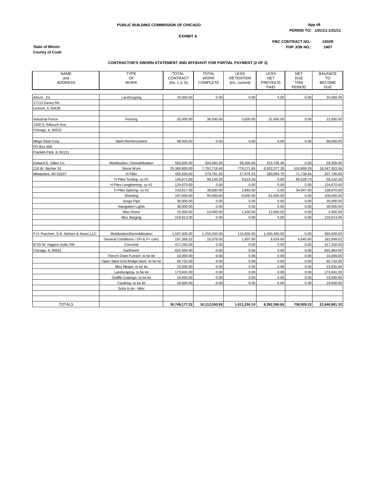# **PERIOD TO: 1/01/11-1/31/11**

# **PUBLIC BUILDING COMMISSION OF CHICAGO App #8**

**EXHIBIT A**

**PBC CONTRACT NO.: 1502R State of Illinois FHP JOB NO.: 2407**

**County of Cook**

#### **CONTRACTOR'S SWORN STATEMENT AND AFFIDAVIT FOR PARTIAL PAYMENT (2 OF 3)**

| <b>NAME</b>                            | <b>TYPE</b>                            | <b>TOTAL</b>               | <b>TOTAL</b>                   | <b>LESS</b>                        | LESS                                  | <b>NET</b>                          | <b>BALANCE</b>                    |
|----------------------------------------|----------------------------------------|----------------------------|--------------------------------|------------------------------------|---------------------------------------|-------------------------------------|-----------------------------------|
| and<br><b>ADDRESS</b>                  | <b>OF</b><br><b>WORK</b>               | CONTRACT<br>(inc. c. o. S) | <b>WORK</b><br><b>COMPLETE</b> | <b>RETENTION</b><br>(inc. current) | <b>NET</b><br><b>PREVIOUS</b><br>PAID | <b>DUE</b><br><b>THIS</b><br>PERIOD | TO<br><b>BECOME</b><br><b>DUE</b> |
|                                        |                                        |                            |                                |                                    |                                       |                                     |                                   |
| Atrium, Inc.                           | Landscaping                            | 20,000.00                  | 0.00                           | 0.00                               | 0.00                                  | 0.00                                | 20,000.00                         |
| 17113 Davev Rd                         |                                        |                            |                                |                                    |                                       |                                     |                                   |
| Lemont, IL 60439                       |                                        |                            |                                |                                    |                                       |                                     |                                   |
|                                        |                                        |                            |                                |                                    |                                       |                                     |                                   |
| <b>Industrial Fence</b>                | Fencing                                | 55,000.00                  | 36,000.00                      | 3,600.00                           | 32,400.00                             | 0.00                                | 22,600.00                         |
| 1300 S. Kilbourn Ave                   |                                        |                            |                                |                                    |                                       |                                     |                                   |
| Chicago, IL 60623                      |                                        |                            |                                |                                    |                                       |                                     |                                   |
| Mega Steel Corp                        | Steel Reinforcement                    | 98,000.00                  | 0.00                           | 0.00                               | 0.00                                  | 0.00                                | 98,000.00                         |
| PO Box 609                             |                                        |                            |                                |                                    |                                       |                                     |                                   |
| Franklin Park, IL 60131                |                                        |                            |                                |                                    |                                       |                                     |                                   |
| Edward E. Gillen Co.                   | Mobilization / Demobilization          | 593,000.00                 | 593,000.00                     | 59,300.00                          | 533,700.00                            | 0.00                                | 59,300.00                         |
| 218 W. Becher St                       | Stone Work                             | 25,360,800.00              | 7,792,718.49                   | 779,271.85                         | 6,502,577.35                          | 510,869.29                          | 18,347,353.36                     |
| Milwaukee, WI 53207                    | H-Piles                                | 459,550.00                 | 279,781.50                     | 27,978.15                          | 180,064.70                            | 71,738.64                           | 207,746.65                        |
|                                        | H Piles Testing- co #2                 | 145,671.00                 | 96,143.00                      | 9.614.30                           | 0.00                                  | 86,528.70                           | 59.142.30                         |
|                                        | H Piles Lengthening- co #2             | 124,670.00                 | 0.00                           | 0.00                               | 0.00                                  | 0.00                                | 124,670.00                        |
|                                        | H Piles Splicing- co #2                | 143,817.00                 | 38,830.00                      | 3,883.00                           | 0.00                                  | 34,947.00                           | 108,870.00                        |
|                                        | Sheeting                               | 187,000.00                 | 90,000.00                      | 9,000.00                           | 81,000.00                             | 0.00                                | 106,000.00                        |
|                                        | Surge Pipe                             | 30,000.00                  | 0.00                           | 0.00                               | 0.00                                  | 0.00                                | 30,000.00                         |
|                                        | Navigation Lights                      | 38,000.00                  | 0.00                           | 0.00                               | 0.00                                  | 0.00                                | 38,000.00                         |
|                                        | Misc Demo                              | 15,000.00                  | 14,000.00                      | 1,400.00                           | 12,600.00                             | 0.00                                | 2,400.00                          |
|                                        | Misc Barging                           | 218,913.00                 | 0.00                           | 0.00                               | 0.00                                  | 0.00                                | 218,913.00                        |
|                                        |                                        |                            |                                |                                    |                                       |                                     |                                   |
|                                        |                                        |                            |                                |                                    |                                       |                                     |                                   |
| F.H. Paschen, S.N. Nielsen & Assoc.LLC | Mobilization/Demobilization            | 1,507,000.00               | 1,156,000.00                   | 115,600.00                         | 1,040,400.00                          | 0.00                                | 466,600.00                        |
|                                        | General Conditions / OH & P+ co#2      | 197,369.22                 | 16,078.00                      | 1,607.80                           | 9,624.60                              | 4,845.60                            | 182,899.02                        |
| 8725 W. Higgins Suite 200              | Concrete                               | 417,250.00                 | 0.00                           | 0.00                               | 0.00                                  | 0.00                                | 417,250.00                        |
| Chicago, IL 60631                      | Earthwork                              | 825,964.00                 | 0.00                           | 0.00                               | 0.00                                  | 0.00                                | 825,964.00                        |
|                                        | Trench Drain Furnish- to be let        | 10,000.00                  | 0.00                           | 0.00                               | 0.00                                  | 0.00                                | 10,000.00                         |
|                                        | Open Steel Grid Bridge Deck -to be let | 65,732.00                  | 0.00                           | 0.00                               | 0.00                                  | 0.00                                | 65,732.00                         |
|                                        | Misc Metals- to be let                 | 23,000.00                  | 0.00                           | 0.00                               | 0.00                                  | 0.00                                | 23,000.00                         |
|                                        | Landscaping- to be let                 | 173,941.00                 | 0.00                           | 0.00                               | 0.00                                  | 0.00                                | 173,941.00                        |
|                                        | Graffiti Coatings- to be let           | 19,500.00                  | 0.00                           | 0.00                               | 0.00                                  | 0.00                                | 19,500.00                         |
|                                        | Caulking- to be let                    | 19,000.00                  | 0.00                           | 0.00                               | 0.00                                  | 0.00                                | 19,000.00                         |
|                                        | Subs to let - Misc                     |                            |                                |                                    |                                       |                                     |                                   |
|                                        |                                        |                            |                                |                                    |                                       |                                     |                                   |
| <b>TOTALS</b>                          |                                        | 30,748,177.22              | 10,112,550.99                  | 1,011,255.10                       | 8,392,366.65                          | 708,929.23                          | 21,646,881.33                     |